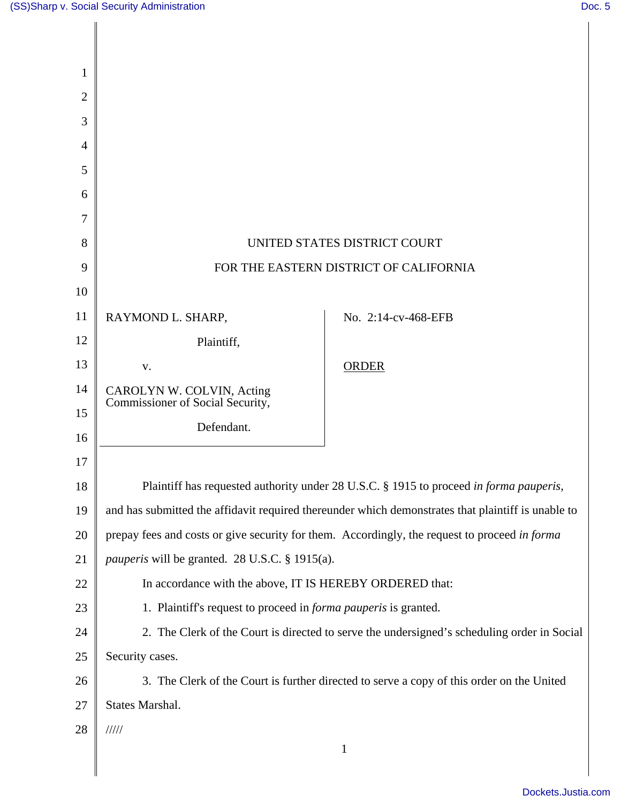|                                                                                                          | UNITED STATES DISTRICT COURT                   |
|----------------------------------------------------------------------------------------------------------|------------------------------------------------|
| FOR THE EASTERN DISTRICT OF CALIFORNIA<br>9                                                              |                                                |
|                                                                                                          |                                                |
| RAYMOND L. SHARP,                                                                                        | No. 2:14-cv-468-EFB                            |
| Plaintiff,                                                                                               |                                                |
| V.                                                                                                       | <b>ORDER</b>                                   |
| CAROLYN W. COLVIN, Acting                                                                                |                                                |
|                                                                                                          |                                                |
|                                                                                                          |                                                |
|                                                                                                          |                                                |
| 18<br>Plaintiff has requested authority under 28 U.S.C. § 1915 to proceed in forma pauperis,             |                                                |
| and has submitted the affidavit required thereunder which demonstrates that plaintiff is unable to<br>19 |                                                |
| prepay fees and costs or give security for them. Accordingly, the request to proceed in forma<br>20      |                                                |
| 21<br><i>pauperis</i> will be granted. 28 U.S.C. § 1915(a).                                              |                                                |
| 22<br>In accordance with the above, IT IS HEREBY ORDERED that:                                           |                                                |
| 23<br>1. Plaintiff's request to proceed in <i>forma pauperis</i> is granted.                             |                                                |
| 24<br>2. The Clerk of the Court is directed to serve the undersigned's scheduling order in Social        |                                                |
| 25<br>Security cases.                                                                                    |                                                |
| 3. The Clerk of the Court is further directed to serve a copy of this order on the United<br>26          |                                                |
| States Marshal.<br>27                                                                                    |                                                |
| 11111                                                                                                    |                                                |
| $\mathbf{1}$                                                                                             |                                                |
|                                                                                                          | Commissioner of Social Security,<br>Defendant. |